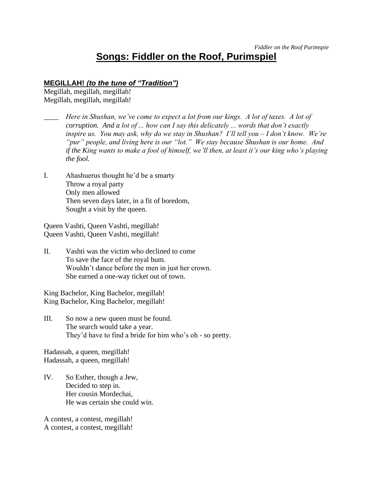# **Songs: Fiddler on the Roof, Purimspiel**

#### **MEGILLAH!** *(to the tune of "Tradition")*

Megillah, megillah, megillah! Megillah, megillah, megillah!

- \_\_\_\_ *Here in Shushan, we've come to expect a lot from our kings. A lot of taxes. A lot of corruption. And a lot of ... how can I say this delicately ... words that don't exactly inspire us. You may ask, why do we stay in Shushan? I'll tell you – I don't know. We're "pur" people, and living here is our "lot." We stay because Shushan is our home. And if the King wants to make a fool of himself, we'll then, at least it's our king who's playing the fool.*
- I. Ahashuerus thought he'd be a smarty Throw a royal party Only men allowed Then seven days later, in a fit of boredom, Sought a visit by the queen.

Queen Vashti, Queen Vashti, megillah! Queen Vashti, Queen Vashti, megillah!

II. Vashti was the victim who declined to come To save the face of the royal bum. Wouldn't dance before the men in just her crown. She earned a one-way ticket out of town.

King Bachelor, King Bachelor, megillah! King Bachelor, King Bachelor, megillah!

III. So now a new queen must be found. The search would take a year. They'd have to find a bride for him who's oh - so pretty.

Hadassah, a queen, megillah! Hadassah, a queen, megillah!

IV. So Esther, though a Jew, Decided to step in. Her cousin Mordechai, He was certain she could win.

A contest, a contest, megillah! A contest, a contest, megillah!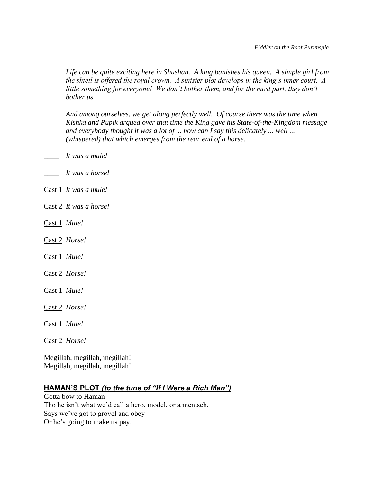- \_\_\_\_ *Life can be quite exciting here in Shushan. A king banishes his queen. A simple girl from the shtetl is offered the royal crown. A sinister plot develops in the king's inner court. A little something for everyone! We don't bother them, and for the most part, they don't bother us.*
- \_\_\_\_ *And among ourselves, we get along perfectly well. Of course there was the time when Kishka and Pupik argued over that time the King gave his State-of-the-Kingdom message and everybody thought it was a lot of ... how can I say this delicately ... well ... (whispered) that which emerges from the rear end of a horse.*
- \_\_\_\_ *It was a mule!*
- \_\_\_\_ *It was a horse!*
- Cast 1 *It was a mule!*
- Cast 2 *It was a horse!*
- Cast 1 *Mule!*
- Cast 2 *Horse!*
- Cast 1 *Mule!*
- Cast 2 *Horse!*
- Cast 1 *Mule!*
- Cast 2 *Horse!*
- Cast 1 *Mule!*
- Cast 2 *Horse!*

Megillah, megillah, megillah! Megillah, megillah, megillah!

## **HAMAN'S PLOT** *(to the tune of "If I Were a Rich Man")*

Gotta bow to Haman Tho he isn't what we'd call a hero, model, or a mentsch. Says we've got to grovel and obey Or he's going to make us pay.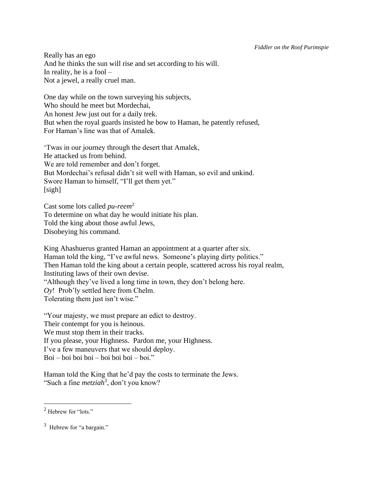Really has an ego And he thinks the sun will rise and set according to his will. In reality, he is a fool  $-$ Not a jewel, a really cruel man.

One day while on the town surveying his subjects, Who should he meet but Mordechai, An honest Jew just out for a daily trek. But when the royal guards insisted he bow to Haman, he patently refused, For Haman's line was that of Amalek.

'Twas in our journey through the desert that Amalek, He attacked us from behind. We are told remember and don't forget. But Mordechai's refusal didn't sit well with Haman, so evil and unkind. Swore Haman to himself, "I'll get them yet." [sigh]

Cast some lots called *pu-reem*<sup>2</sup> To determine on what day he would initiate his plan. Told the king about those awful Jews, Disobeying his command.

King Ahashuerus granted Haman an appointment at a quarter after six. Haman told the king, "I've awful news. Someone's playing dirty politics." Then Haman told the king about a certain people, scattered across his royal realm, Instituting laws of their own devise. "Although they've lived a long time in town, they don't belong here. *Oy*! Prob'ly settled here from Chelm. Tolerating them just isn't wise."

"Your majesty, we must prepare an edict to destroy. Their contempt for you is heinous. We must stop them in their tracks. If you please, your Highness. Pardon me, your Highness. I've a few maneuvers that we should deploy. Boi – boi boi boi – boi boi boi – boi."

Haman told the King that he'd pay the costs to terminate the Jews. "Such a fine *metziah*<sup>3</sup> , don't you know?

<sup>&</sup>lt;sup>2</sup> Hebrew for "lots."

<sup>&</sup>lt;sup>3</sup> Hebrew for "a bargain."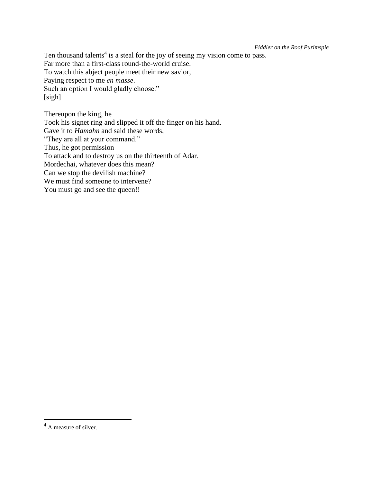*Fiddler on the Roof Purimspie*

Ten thousand talents<sup>4</sup> is a steal for the joy of seeing my vision come to pass. Far more than a first-class round-the-world cruise. To watch this abject people meet their new savior, Paying respect to me *en masse*. Such an option I would gladly choose." [sigh]

Thereupon the king, he Took his signet ring and slipped it off the finger on his hand. Gave it to *Hamahn* and said these words, "They are all at your command." Thus, he got permission To attack and to destroy us on the thirteenth of Adar. Mordechai, whatever does this mean? Can we stop the devilish machine? We must find someone to intervene? You must go and see the queen!!

<sup>&</sup>lt;sup>4</sup> A measure of silver.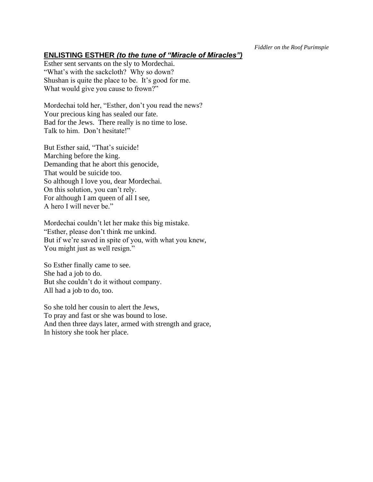## **ENLISTING ESTHER** *(to the tune of "Miracle of Miracles")*

Esther sent servants on the sly to Mordechai. "What's with the sackcloth? Why so down? Shushan is quite the place to be. It's good for me. What would give you cause to frown?"

Mordechai told her, "Esther, don't you read the news? Your precious king has sealed our fate. Bad for the Jews. There really is no time to lose. Talk to him. Don't hesitate!"

But Esther said, "That's suicide! Marching before the king. Demanding that he abort this genocide, That would be suicide too. So although I love you, dear Mordechai. On this solution, you can't rely. For although I am queen of all I see, A hero I will never be."

Mordechai couldn't let her make this big mistake. "Esther, please don't think me unkind. But if we're saved in spite of you, with what you knew, You might just as well resign."

So Esther finally came to see. She had a job to do. But she couldn't do it without company. All had a job to do, too.

So she told her cousin to alert the Jews, To pray and fast or she was bound to lose. And then three days later, armed with strength and grace, In history she took her place.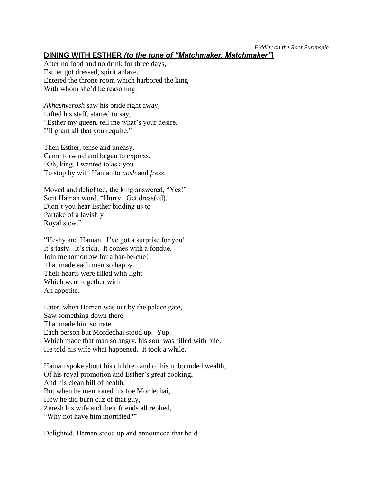*Fiddler on the Roof Purimspie*

## **DINING WITH ESTHER** *(to the tune of "Matchmaker, Matchmaker")*

After no food and no drink for three days, Esther got dressed, spirit ablaze. Entered the throne room which harbored the king With whom she'd be reasoning.

*Akhashverosh* saw his bride right away, Lifted his staff, started to say, "Esther my queen, tell me what's your desire. I'll grant all that you require."

Then Esther, tense and uneasy, Came forward and began to express, "Oh, king, I wanted to ask you To stop by with Haman to *nosh* and *fress*.

Moved and delighted, the king answered, "Yes!" Sent Haman word, "Hurry. Get dress(ed). Didn't you hear Esther bidding us to Partake of a lavishly Royal stew."

"Heshy and Haman. I've got a surprise for you! It's tasty. It's rich. It comes with a fondue. Join me tomorrow for a bar-be-cue! That made each man so happy Their hearts were filled with light Which went together with An appetite.

Later, when Haman was out by the palace gate, Saw something down there That made him so irate. Each person but Mordechai stood up. Yup. Which made that man so angry, his soul was filled with bile. He told his wife what happened. It took a while.

Haman spoke about his children and of his unbounded wealth, Of his royal promotion and Esther's great cooking, And his clean bill of health. But when he mentioned his foe Mordechai, How he did burn cuz of that guy, Zeresh his wife and their friends all replied, "Why not have him mortified?"

Delighted, Haman stood up and announced that he'd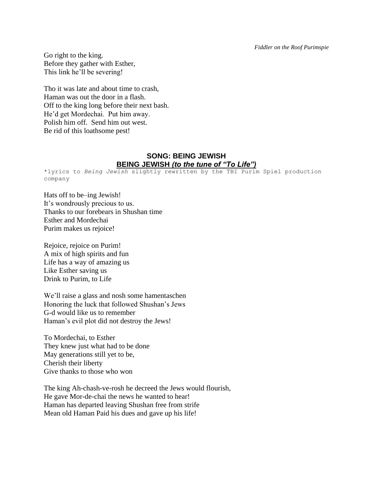*Fiddler on the Roof Purimspie*

Go right to the king. Before they gather with Esther, This link he'll be severing!

Tho it was late and about time to crash, Haman was out the door in a flash. Off to the king long before their next bash. He'd get Mordechai. Put him away. Polish him off. Send him out west. Be rid of this loathsome pest!

#### **SONG: BEING JEWISH BEING JEWISH** *(to the tune of "To Life")*

\*lyrics to *Being Jewish* slightly rewritten by the TBI Purim Spiel production company

Hats off to be–ing Jewish! It's wondrously precious to us. Thanks to our forebears in Shushan time Esther and Mordechai Purim makes us rejoice!

Rejoice, rejoice on Purim! A mix of high spirits and fun Life has a way of amazing us Like Esther saving us Drink to Purim, to Life

We'll raise a glass and nosh some hamentaschen Honoring the luck that followed Shushan's Jews G-d would like us to remember Haman's evil plot did not destroy the Jews!

To Mordechai, to Esther They knew just what had to be done May generations still yet to be, Cherish their liberty Give thanks to those who won

The king Ah-chash-ve-rosh he decreed the Jews would flourish, He gave Mor-de-chai the news he wanted to hear! Haman has departed leaving Shushan free from strife Mean old Haman Paid his dues and gave up his life!